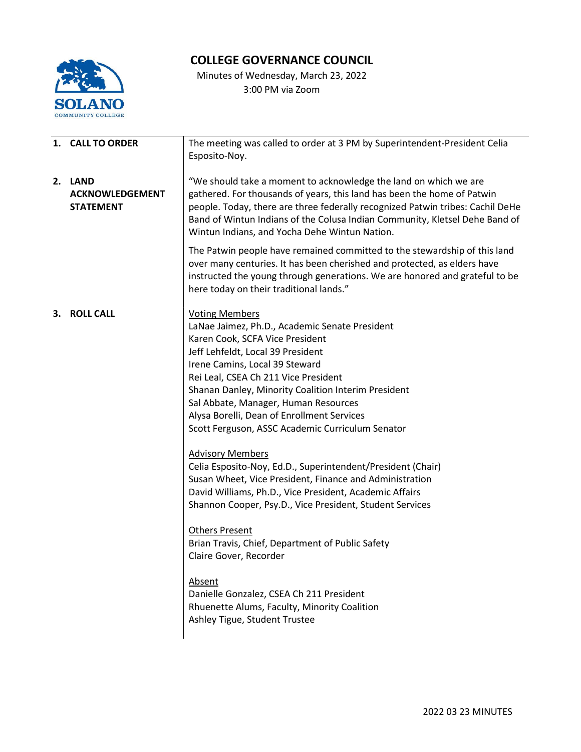

## **COLLEGE GOVERNANCE COUNCIL**

Minutes of Wednesday, March 23, 2022 3:00 PM via Zoom

|    | 1. CALL TO ORDER                                      | The meeting was called to order at 3 PM by Superintendent-President Celia<br>Esposito-Noy.                                                                                                                                                                                                                                                                                                                                                                                                                                                                                                                                                                                                                                                                                                                                                                                                                                                           |  |  |
|----|-------------------------------------------------------|------------------------------------------------------------------------------------------------------------------------------------------------------------------------------------------------------------------------------------------------------------------------------------------------------------------------------------------------------------------------------------------------------------------------------------------------------------------------------------------------------------------------------------------------------------------------------------------------------------------------------------------------------------------------------------------------------------------------------------------------------------------------------------------------------------------------------------------------------------------------------------------------------------------------------------------------------|--|--|
|    | 2. LAND<br><b>ACKNOWLEDGEMENT</b><br><b>STATEMENT</b> | "We should take a moment to acknowledge the land on which we are<br>gathered. For thousands of years, this land has been the home of Patwin<br>people. Today, there are three federally recognized Patwin tribes: Cachil DeHe<br>Band of Wintun Indians of the Colusa Indian Community, Kletsel Dehe Band of<br>Wintun Indians, and Yocha Dehe Wintun Nation.                                                                                                                                                                                                                                                                                                                                                                                                                                                                                                                                                                                        |  |  |
|    |                                                       | The Patwin people have remained committed to the stewardship of this land<br>over many centuries. It has been cherished and protected, as elders have<br>instructed the young through generations. We are honored and grateful to be<br>here today on their traditional lands."                                                                                                                                                                                                                                                                                                                                                                                                                                                                                                                                                                                                                                                                      |  |  |
| З. | <b>ROLL CALL</b>                                      | <b>Voting Members</b><br>LaNae Jaimez, Ph.D., Academic Senate President<br>Karen Cook, SCFA Vice President<br>Jeff Lehfeldt, Local 39 President<br>Irene Camins, Local 39 Steward<br>Rei Leal, CSEA Ch 211 Vice President<br>Shanan Danley, Minority Coalition Interim President<br>Sal Abbate, Manager, Human Resources<br>Alysa Borelli, Dean of Enrollment Services<br>Scott Ferguson, ASSC Academic Curriculum Senator<br><b>Advisory Members</b><br>Celia Esposito-Noy, Ed.D., Superintendent/President (Chair)<br>Susan Wheet, Vice President, Finance and Administration<br>David Williams, Ph.D., Vice President, Academic Affairs<br>Shannon Cooper, Psy.D., Vice President, Student Services<br><b>Others Present</b><br>Brian Travis, Chief, Department of Public Safety<br>Claire Gover, Recorder<br>Absent<br>Danielle Gonzalez, CSEA Ch 211 President<br>Rhuenette Alums, Faculty, Minority Coalition<br>Ashley Tigue, Student Trustee |  |  |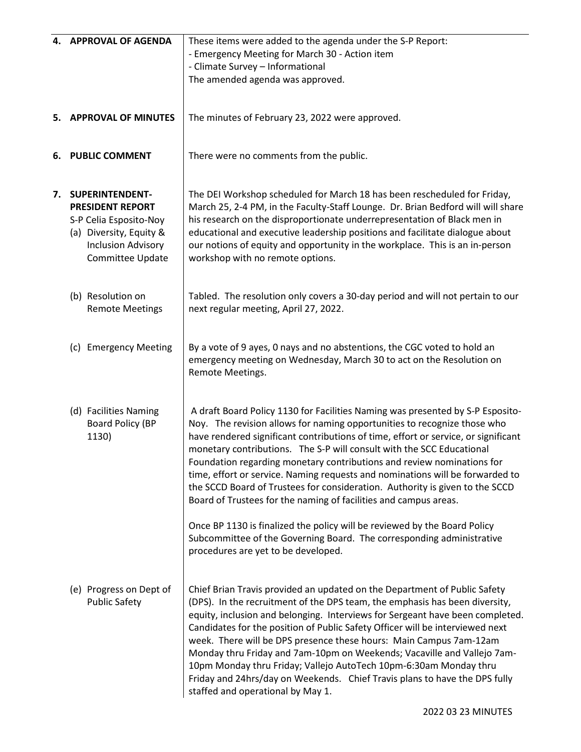|                             | 4. APPROVAL OF AGENDA                                                                                                                               | These items were added to the agenda under the S-P Report:<br>- Emergency Meeting for March 30 - Action item<br>- Climate Survey - Informational<br>The amended agenda was approved.                                                                                                                                                                                                                                                                                                                                                                                                                                                                                                                                  |
|-----------------------------|-----------------------------------------------------------------------------------------------------------------------------------------------------|-----------------------------------------------------------------------------------------------------------------------------------------------------------------------------------------------------------------------------------------------------------------------------------------------------------------------------------------------------------------------------------------------------------------------------------------------------------------------------------------------------------------------------------------------------------------------------------------------------------------------------------------------------------------------------------------------------------------------|
| 5. APPROVAL OF MINUTES      |                                                                                                                                                     | The minutes of February 23, 2022 were approved.                                                                                                                                                                                                                                                                                                                                                                                                                                                                                                                                                                                                                                                                       |
| 6.<br><b>PUBLIC COMMENT</b> |                                                                                                                                                     | There were no comments from the public.                                                                                                                                                                                                                                                                                                                                                                                                                                                                                                                                                                                                                                                                               |
|                             | 7. SUPERINTENDENT-<br><b>PRESIDENT REPORT</b><br>S-P Celia Esposito-Noy<br>(a) Diversity, Equity &<br><b>Inclusion Advisory</b><br>Committee Update | The DEI Workshop scheduled for March 18 has been rescheduled for Friday,<br>March 25, 2-4 PM, in the Faculty-Staff Lounge. Dr. Brian Bedford will will share<br>his research on the disproportionate underrepresentation of Black men in<br>educational and executive leadership positions and facilitate dialogue about<br>our notions of equity and opportunity in the workplace. This is an in-person<br>workshop with no remote options.                                                                                                                                                                                                                                                                          |
|                             | (b) Resolution on<br><b>Remote Meetings</b>                                                                                                         | Tabled. The resolution only covers a 30-day period and will not pertain to our<br>next regular meeting, April 27, 2022.                                                                                                                                                                                                                                                                                                                                                                                                                                                                                                                                                                                               |
|                             | (c) Emergency Meeting                                                                                                                               | By a vote of 9 ayes, 0 nays and no abstentions, the CGC voted to hold an<br>emergency meeting on Wednesday, March 30 to act on the Resolution on<br>Remote Meetings.                                                                                                                                                                                                                                                                                                                                                                                                                                                                                                                                                  |
|                             | (d) Facilities Naming<br>Board Policy (BP<br>1130)                                                                                                  | A draft Board Policy 1130 for Facilities Naming was presented by S-P Esposito-<br>Noy. The revision allows for naming opportunities to recognize those who<br>have rendered significant contributions of time, effort or service, or significant<br>monetary contributions. The S-P will consult with the SCC Educational<br>Foundation regarding monetary contributions and review nominations for<br>time, effort or service. Naming requests and nominations will be forwarded to<br>the SCCD Board of Trustees for consideration. Authority is given to the SCCD<br>Board of Trustees for the naming of facilities and campus areas.<br>Once BP 1130 is finalized the policy will be reviewed by the Board Policy |
|                             |                                                                                                                                                     | Subcommittee of the Governing Board. The corresponding administrative<br>procedures are yet to be developed.                                                                                                                                                                                                                                                                                                                                                                                                                                                                                                                                                                                                          |
|                             | (e) Progress on Dept of<br><b>Public Safety</b>                                                                                                     | Chief Brian Travis provided an updated on the Department of Public Safety<br>(DPS). In the recruitment of the DPS team, the emphasis has been diversity,<br>equity, inclusion and belonging. Interviews for Sergeant have been completed.<br>Candidates for the position of Public Safety Officer will be interviewed next<br>week. There will be DPS presence these hours: Main Campus 7am-12am<br>Monday thru Friday and 7am-10pm on Weekends; Vacaville and Vallejo 7am-<br>10pm Monday thru Friday; Vallejo AutoTech 10pm-6:30am Monday thru<br>Friday and 24hrs/day on Weekends. Chief Travis plans to have the DPS fully<br>staffed and operational by May 1.                                                   |